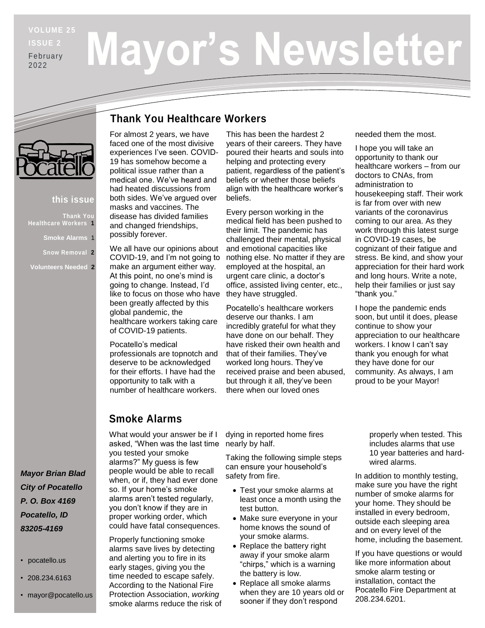# **ISSUE 2** February

2022

# **Mayor's Newsletter**

#### **this issue**

**Thank You Healthcare Workers 1**

**Smoke Alarms** 1

**Snow Removal 2**

**Volunteers Needed 2**

*Mayor Brian Blad City of Pocatello P. O. Box 4169 Pocatello, ID 83205-4169*

- pocatello.us
- 208.234.6163
- mayor@pocatello.us

#### **Thank You Healthcare Workers**

For almost 2 years, we have faced one of the most divisive experiences I've seen. COVID-19 has somehow become a political issue rather than a medical one. We've heard and had heated discussions from both sides. We've argued over masks and vaccines. The disease has divided families and changed friendships, possibly forever.

We all have our opinions about COVID-19, and I'm not going to make an argument either way. At this point, no one's mind is going to change. Instead, I'd like to focus on those who have been greatly affected by this global pandemic, the healthcare workers taking care of COVID-19 patients.

Pocatello's medical professionals are topnotch and deserve to be acknowledged for their efforts. I have had the opportunity to talk with a number of healthcare workers.

This has been the hardest 2 years of their careers. They have poured their hearts and souls into helping and protecting every patient, regardless of the patient's beliefs or whether those beliefs align with the healthcare worker's beliefs.

Every person working in the medical field has been pushed to their limit. The pandemic has challenged their mental, physical and emotional capacities like nothing else. No matter if they are employed at the hospital, an urgent care clinic, a doctor's office, assisted living center, etc., they have struggled.

Pocatello's healthcare workers deserve our thanks. I am incredibly grateful for what they have done on our behalf. They have risked their own health and that of their families. They've worked long hours. They've received praise and been abused, but through it all, they've been there when our loved ones

needed them the most.

I hope you will take an opportunity to thank our healthcare workers – from our doctors to CNAs, from administration to housekeeping staff. Their work is far from over with new variants of the coronavirus coming to our area. As they work through this latest surge in COVID-19 cases, be cognizant of their fatigue and stress. Be kind, and show your appreciation for their hard work and long hours. Write a note, help their families or just say "thank you."

I hope the pandemic ends soon, but until it does, please continue to show your appreciation to our healthcare workers. I know I can't say thank you enough for what they have done for our community. As always, I am proud to be your Mayor!

#### **Smoke Alarms**

What would your answer be if I asked, "When was the last time you tested your smoke alarms?" My guess is few people would be able to recall when, or if, they had ever done so. If your home's smoke alarms aren't tested regularly, you don't know if they are in proper working order, which could have fatal consequences.

Properly functioning smoke alarms save lives by detecting and alerting you to fire in its early stages, giving you the time needed to escape safely. According to the National Fire Protection Association, *working*  smoke alarms reduce the risk of

dying in reported home fires nearly by half.

Taking the following simple steps can ensure your household's safety from fire.

- Test your smoke alarms at least once a month using the test button.
- Make sure everyone in your home knows the sound of your smoke alarms.
- Replace the battery right away if your smoke alarm "chirps," which is a warning the battery is low.
- Replace all smoke alarms when they are 10 years old or sooner if they don't respond

properly when tested. This includes alarms that use 10 year batteries and hardwired alarms.

In addition to monthly testing, make sure you have the right number of smoke alarms for your home. They should be installed in every bedroom, outside each sleeping area and on every level of the home, including the basement.

If you have questions or would like more information about smoke alarm testing or installation, contact the Pocatello Fire Department at 208.234.6201.